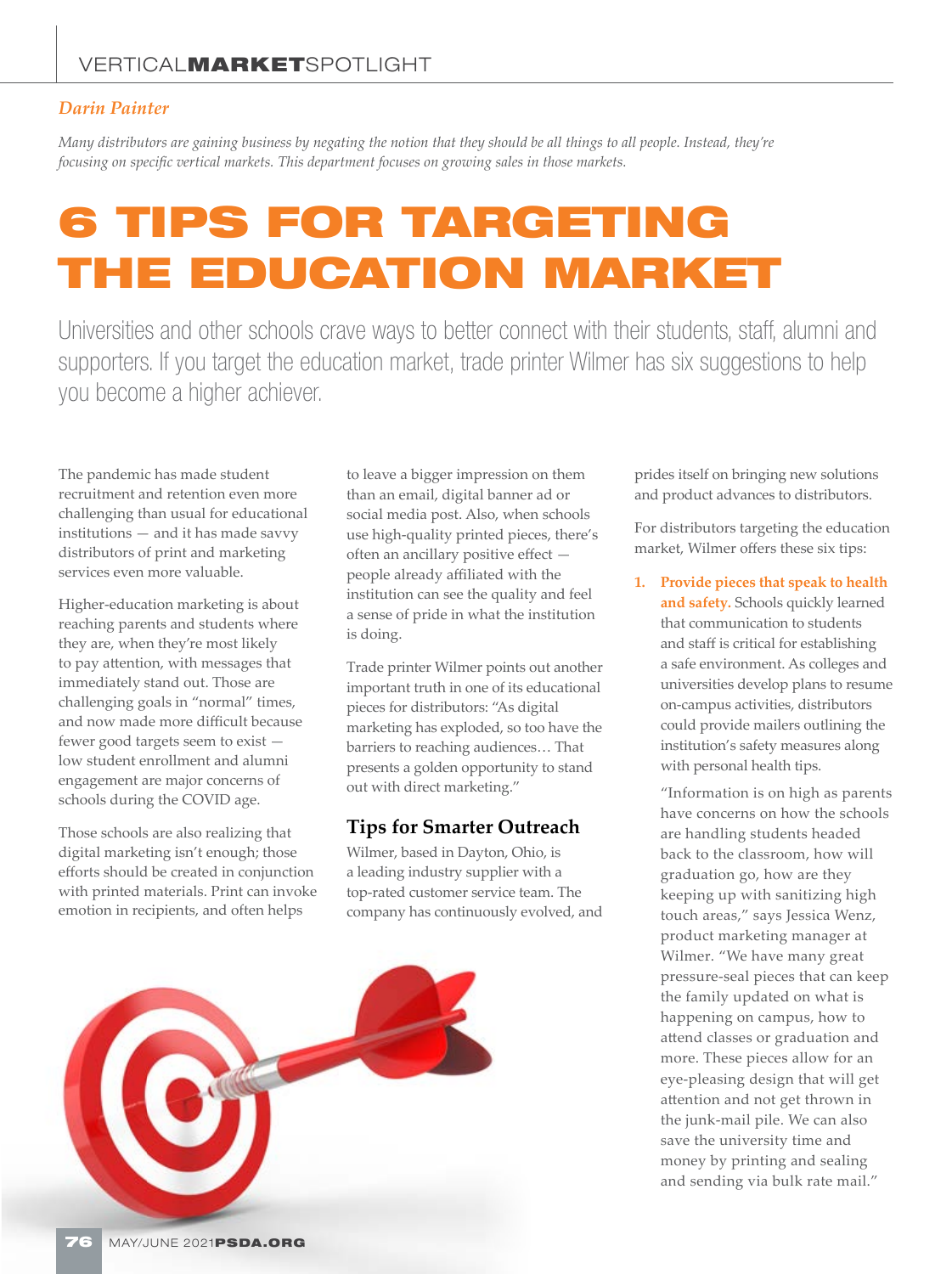## *Darin Painter*

*Many distributors are gaining business by negating the notion that they should be all things to all people. Instead, they're focusing on specific vertical markets. This department focuses on growing sales in those markets.*

## 6 TIPS FOR TARGETING THE EDUCATION MARKET

Universities and other schools crave ways to better connect with their students, staff, alumni and supporters. If you target the education market, trade printer Wilmer has six suggestions to help you become a higher achiever.

The pandemic has made student recruitment and retention even more challenging than usual for educational institutions — and it has made savvy distributors of print and marketing services even more valuable.

Higher-education marketing is about reaching parents and students where they are, when they're most likely to pay attention, with messages that immediately stand out. Those are challenging goals in "normal" times, and now made more difficult because fewer good targets seem to exist low student enrollment and alumni engagement are major concerns of schools during the COVID age.

Those schools are also realizing that digital marketing isn't enough; those efforts should be created in conjunction with printed materials. Print can invoke emotion in recipients, and often helps

to leave a bigger impression on them than an email, digital banner ad or social media post. Also, when schools use high-quality printed pieces, there's often an ancillary positive effect people already affiliated with the institution can see the quality and feel a sense of pride in what the institution is doing.

Trade printer Wilmer points out another important truth in one of its educational pieces for distributors: "As digital marketing has exploded, so too have the barriers to reaching audiences… That presents a golden opportunity to stand out with direct marketing."

## **Tips for Smarter Outreach**

Wilmer, based in Dayton, Ohio, is a leading industry supplier with a top-rated customer service team. The company has continuously evolved, and



prides itself on bringing new solutions and product advances to distributors.

For distributors targeting the education market, Wilmer offers these six tips:

**1. Provide pieces that speak to health and safety.** Schools quickly learned that communication to students and staff is critical for establishing a safe environment. As colleges and universities develop plans to resume on-campus activities, distributors could provide mailers outlining the institution's safety measures along with personal health tips.

"Information is on high as parents have concerns on how the schools are handling students headed back to the classroom, how will graduation go, how are they keeping up with sanitizing high touch areas," says Jessica Wenz, product marketing manager at Wilmer. "We have many great pressure-seal pieces that can keep the family updated on what is happening on campus, how to attend classes or graduation and more. These pieces allow for an eye-pleasing design that will get attention and not get thrown in the junk-mail pile. We can also save the university time and money by printing and sealing and sending via bulk rate mail."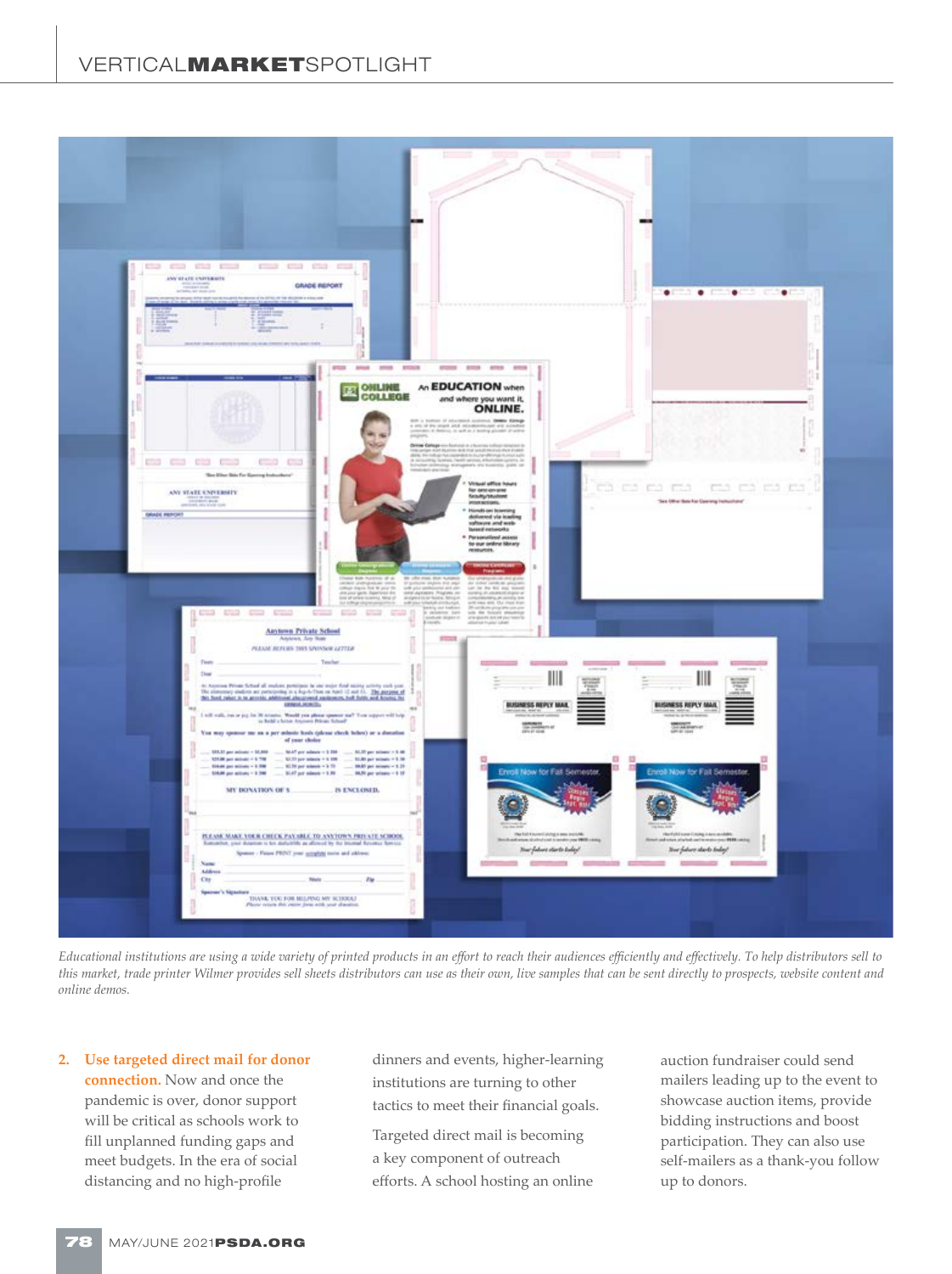

*Educational institutions are using a wide variety of printed products in an effort to reach their audiences efficiently and effectively. To help distributors sell to this market, trade printer Wilmer provides sell sheets distributors can use as their own, live samples that can be sent directly to prospects, website content and online demos.*

**2. Use targeted direct mail for donor connection.** Now and once the pandemic is over, donor support will be critical as schools work to fill unplanned funding gaps and meet budgets. In the era of social distancing and no high-profile

dinners and events, higher-learning institutions are turning to other tactics to meet their financial goals.

Targeted direct mail is becoming a key component of outreach efforts. A school hosting an online auction fundraiser could send mailers leading up to the event to showcase auction items, provide bidding instructions and boost participation. They can also use self-mailers as a thank-you follow up to donors.